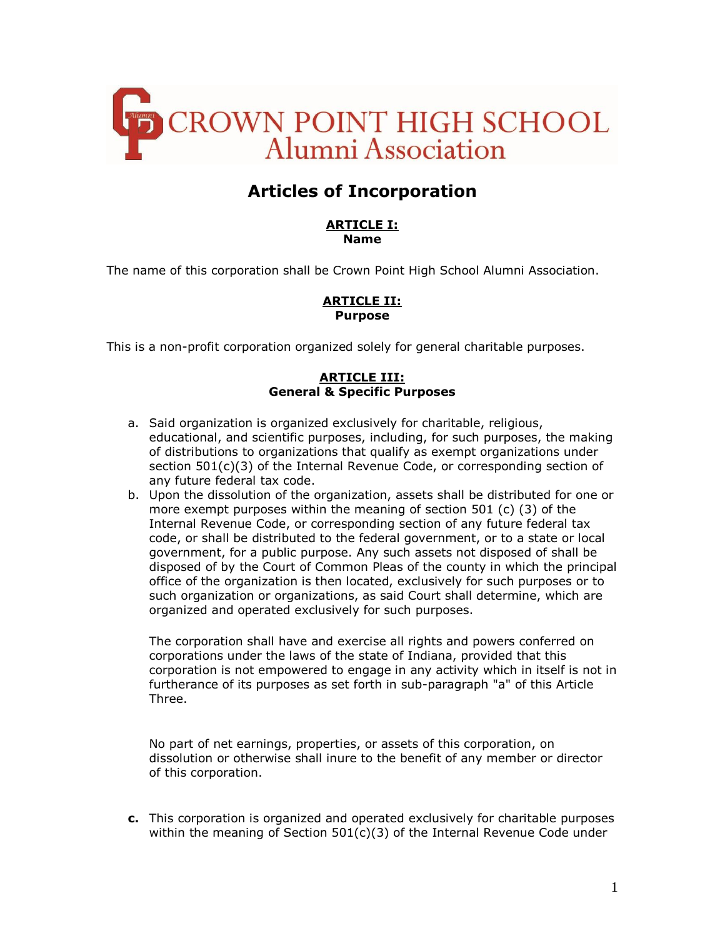

# **Articles of Incorporation**

#### **ARTICLE I: Name**

The name of this corporation shall be Crown Point High School Alumni Association.

### **ARTICLE II: Purpose**

This is a non-profit corporation organized solely for general charitable purposes.

# **ARTICLE III: General & Specific Purposes**

- a. Said organization is organized exclusively for charitable, religious, educational, and scientific purposes, including, for such purposes, the making of distributions to organizations that qualify as exempt organizations under section 501(c)(3) of the Internal Revenue Code, or corresponding section of any future federal tax code.
- b. Upon the dissolution of the organization, assets shall be distributed for one or more exempt purposes within the meaning of section 501 (c) (3) of the Internal Revenue Code, or corresponding section of any future federal tax code, or shall be distributed to the federal government, or to a state or local government, for a public purpose. Any such assets not disposed of shall be disposed of by the Court of Common Pleas of the county in which the principal office of the organization is then located, exclusively for such purposes or to such organization or organizations, as said Court shall determine, which are organized and operated exclusively for such purposes.

The corporation shall have and exercise all rights and powers conferred on corporations under the laws of the state of Indiana, provided that this corporation is not empowered to engage in any activity which in itself is not in furtherance of its purposes as set forth in sub-paragraph "a" of this Article Three.

No part of net earnings, properties, or assets of this corporation, on dissolution or otherwise shall inure to the benefit of any member or director of this corporation.

**c.** This corporation is organized and operated exclusively for charitable purposes within the meaning of Section  $501(c)(3)$  of the Internal Revenue Code under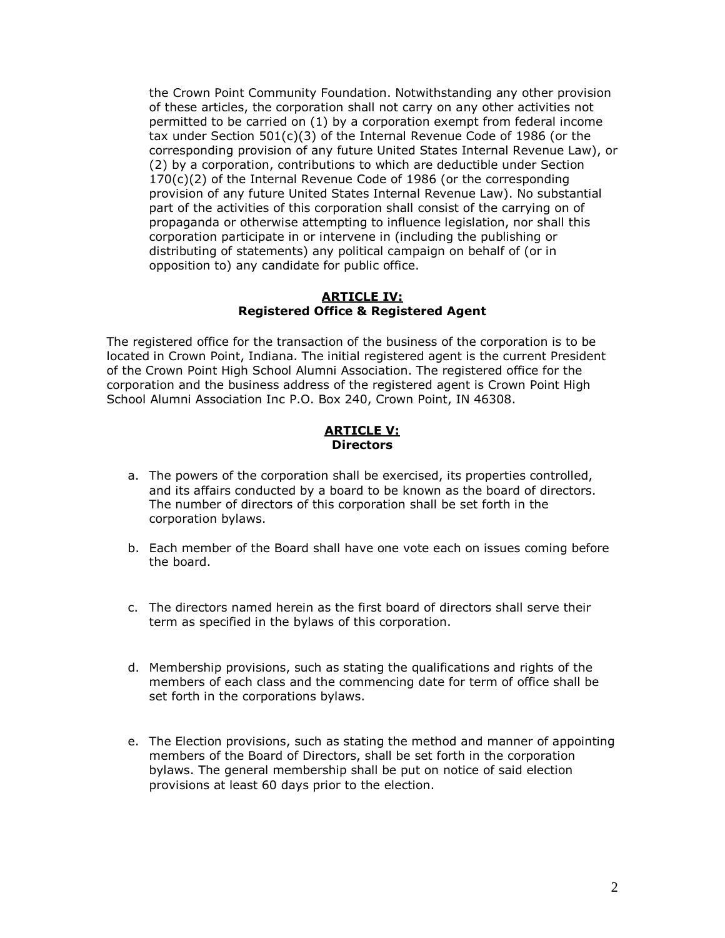the Crown Point Community Foundation. Notwithstanding any other provision of these articles, the corporation shall not carry on any other activities not permitted to be carried on (1) by a corporation exempt from federal income tax under Section 501(c)(3) of the Internal Revenue Code of 1986 (or the corresponding provision of any future United States Internal Revenue Law), or (2) by a corporation, contributions to which are deductible under Section 170(c)(2) of the Internal Revenue Code of 1986 (or the corresponding provision of any future United States Internal Revenue Law). No substantial part of the activities of this corporation shall consist of the carrying on of propaganda or otherwise attempting to influence legislation, nor shall this corporation participate in or intervene in (including the publishing or distributing of statements) any political campaign on behalf of (or in opposition to) any candidate for public office.

### **ARTICLE IV: Registered Office & Registered Agent**

The registered office for the transaction of the business of the corporation is to be located in Crown Point, Indiana. The initial registered agent is the current President of the Crown Point High School Alumni Association. The registered office for the corporation and the business address of the registered agent is Crown Point High School Alumni Association Inc P.O. Box 240, Crown Point, IN 46308.

### **ARTICLE V: Directors**

- a. The powers of the corporation shall be exercised, its properties controlled, and its affairs conducted by a board to be known as the board of directors. The number of directors of this corporation shall be set forth in the corporation bylaws.
- b. Each member of the Board shall have one vote each on issues coming before the board.
- c. The directors named herein as the first board of directors shall serve their term as specified in the bylaws of this corporation.
- d. Membership provisions, such as stating the qualifications and rights of the members of each class and the commencing date for term of office shall be set forth in the corporations bylaws.
- e. The Election provisions, such as stating the method and manner of appointing members of the Board of Directors, shall be set forth in the corporation bylaws. The general membership shall be put on notice of said election provisions at least 60 days prior to the election.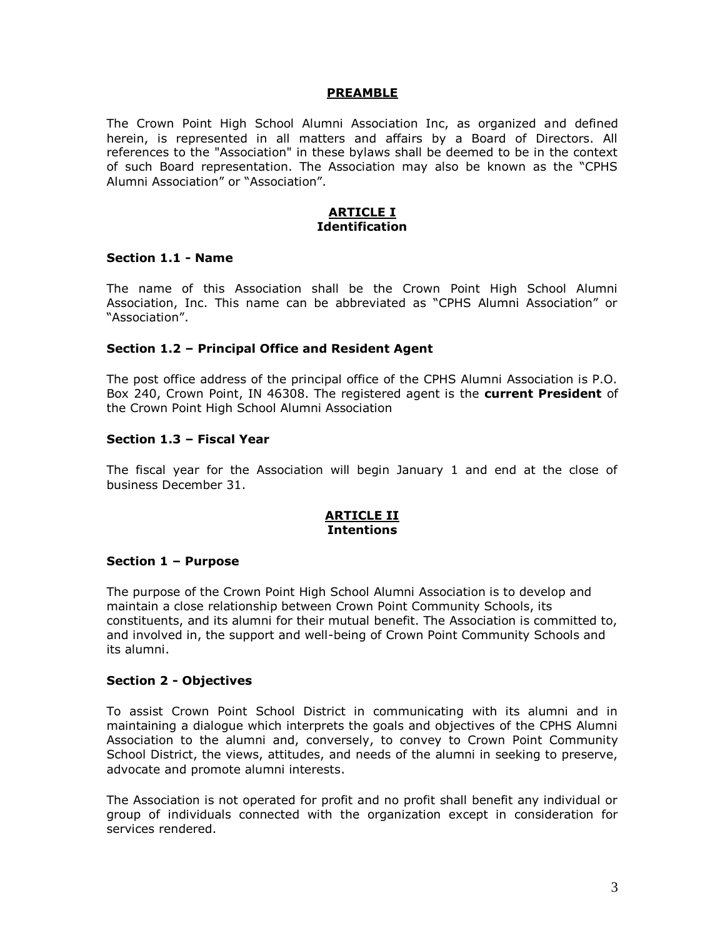#### **PREAMBLE**

The Crown Point High School Alumni Association Inc, as organized and defined herein, is represented in all matters and affairs by a Board of Directors. All references to the "Association" in these bylaws shall be deemed to be in the context of such Board representation. The Association may also be known as the "CPHS Alumni Association" or "Association".

### **ARTICLE I Identification**

### **Section 1.1 - Name**

The name of this Association shall be the Crown Point High School Alumni Association, Inc. This name can be abbreviated as "CPHS Alumni Association" or "Association".

### **Section 1.2 – Principal Office and Resident Agent**

The post office address of the principal office of the CPHS Alumni Association is P.O. Box 240, Crown Point, IN 46308. The registered agent is the **current President** of the Crown Point High School Alumni Association

### **Section 1.3 – Fiscal Year**

The fiscal year for the Association will begin January 1 and end at the close of business December 31.

### **ARTICLE II Intentions**

#### **Section 1 – Purpose**

The purpose of the Crown Point High School Alumni Association is to develop and maintain a close relationship between Crown Point Community Schools, its constituents, and its alumni for their mutual benefit. The Association is committed to, and involved in, the support and well-being of Crown Point Community Schools and its alumni.

#### **Section 2 - Objectives**

To assist Crown Point School District in communicating with its alumni and in maintaining a dialogue which interprets the goals and objectives of the CPHS Alumni Association to the alumni and, conversely, to convey to Crown Point Community School District, the views, attitudes, and needs of the alumni in seeking to preserve, advocate and promote alumni interests.

The Association is not operated for profit and no profit shall benefit any individual or group of individuals connected with the organization except in consideration for services rendered.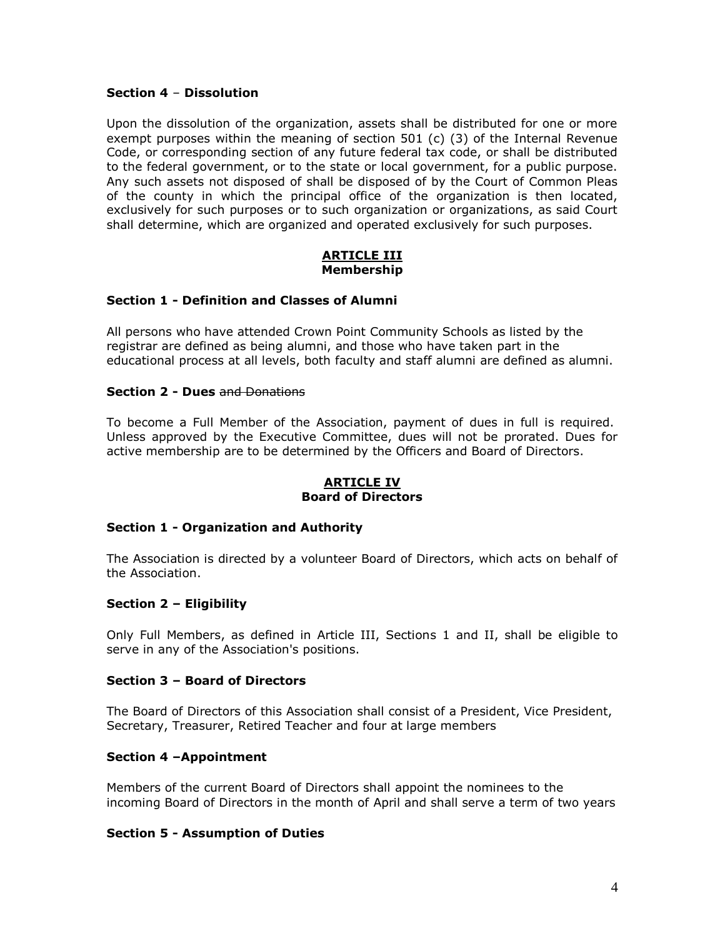# **Section 4** – **Dissolution**

Upon the dissolution of the organization, assets shall be distributed for one or more exempt purposes within the meaning of section  $501$  (c) (3) of the Internal Revenue Code, or corresponding section of any future federal tax code, or shall be distributed to the federal government, or to the state or local government, for a public purpose. Any such assets not disposed of shall be disposed of by the Court of Common Pleas of the county in which the principal office of the organization is then located, exclusively for such purposes or to such organization or organizations, as said Court shall determine, which are organized and operated exclusively for such purposes.

### **ARTICLE III Membership**

### **Section 1 - Definition and Classes of Alumni**

All persons who have attended Crown Point Community Schools as listed by the registrar are defined as being alumni, and those who have taken part in the educational process at all levels, both faculty and staff alumni are defined as alumni.

### **Section 2 - Dues** and Donations

To become a Full Member of the Association, payment of dues in full is required. Unless approved by the Executive Committee, dues will not be prorated. Dues for active membership are to be determined by the Officers and Board of Directors.

### **ARTICLE IV Board of Directors**

# **Section 1 - Organization and Authority**

The Association is directed by a volunteer Board of Directors, which acts on behalf of the Association.

# **Section 2 – Eligibility**

Only Full Members, as defined in Article III, Sections 1 and II, shall be eligible to serve in any of the Association's positions.

# **Section 3 – Board of Directors**

The Board of Directors of this Association shall consist of a President, Vice President, Secretary, Treasurer, Retired Teacher and four at large members

# **Section 4 –Appointment**

Members of the current Board of Directors shall appoint the nominees to the incoming Board of Directors in the month of April and shall serve a term of two years

# **Section 5 - Assumption of Duties**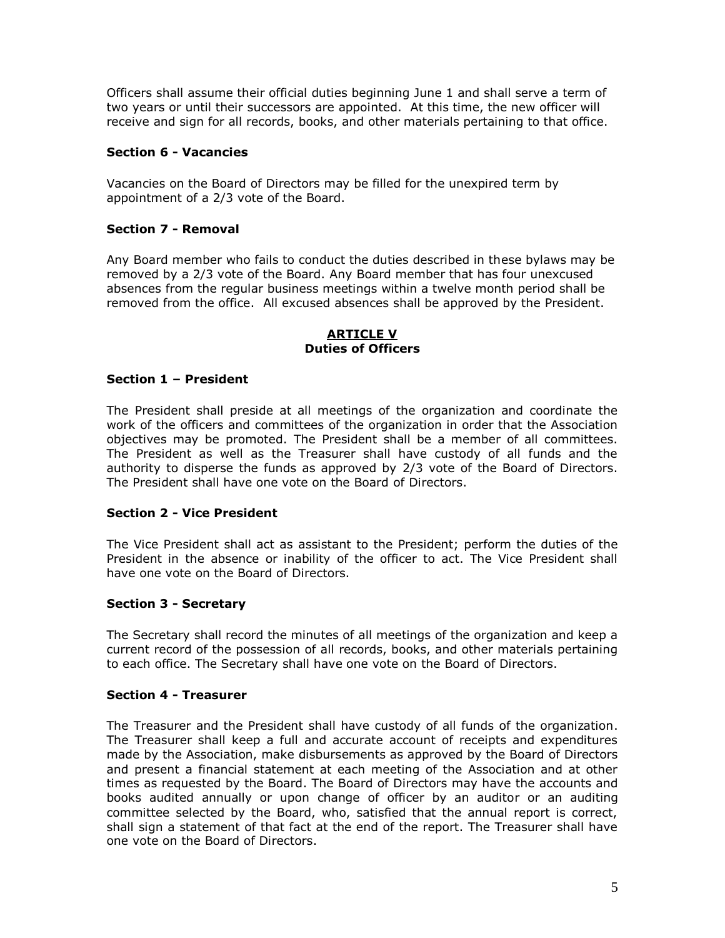Officers shall assume their official duties beginning June 1 and shall serve a term of two years or until their successors are appointed. At this time, the new officer will receive and sign for all records, books, and other materials pertaining to that office.

# **Section 6 - Vacancies**

Vacancies on the Board of Directors may be filled for the unexpired term by appointment of a 2/3 vote of the Board.

# **Section 7 - Removal**

Any Board member who fails to conduct the duties described in these bylaws may be removed by a 2/3 vote of the Board. Any Board member that has four unexcused absences from the regular business meetings within a twelve month period shall be removed from the office. All excused absences shall be approved by the President.

### **ARTICLE V Duties of Officers**

# **Section 1 – President**

The President shall preside at all meetings of the organization and coordinate the work of the officers and committees of the organization in order that the Association objectives may be promoted. The President shall be a member of all committees. The President as well as the Treasurer shall have custody of all funds and the authority to disperse the funds as approved by 2/3 vote of the Board of Directors. The President shall have one vote on the Board of Directors.

# **Section 2 - Vice President**

The Vice President shall act as assistant to the President; perform the duties of the President in the absence or inability of the officer to act. The Vice President shall have one vote on the Board of Directors.

# **Section 3 - Secretary**

The Secretary shall record the minutes of all meetings of the organization and keep a current record of the possession of all records, books, and other materials pertaining to each office. The Secretary shall have one vote on the Board of Directors.

# **Section 4 - Treasurer**

The Treasurer and the President shall have custody of all funds of the organization. The Treasurer shall keep a full and accurate account of receipts and expenditures made by the Association, make disbursements as approved by the Board of Directors and present a financial statement at each meeting of the Association and at other times as requested by the Board. The Board of Directors may have the accounts and books audited annually or upon change of officer by an auditor or an auditing committee selected by the Board, who, satisfied that the annual report is correct, shall sign a statement of that fact at the end of the report. The Treasurer shall have one vote on the Board of Directors.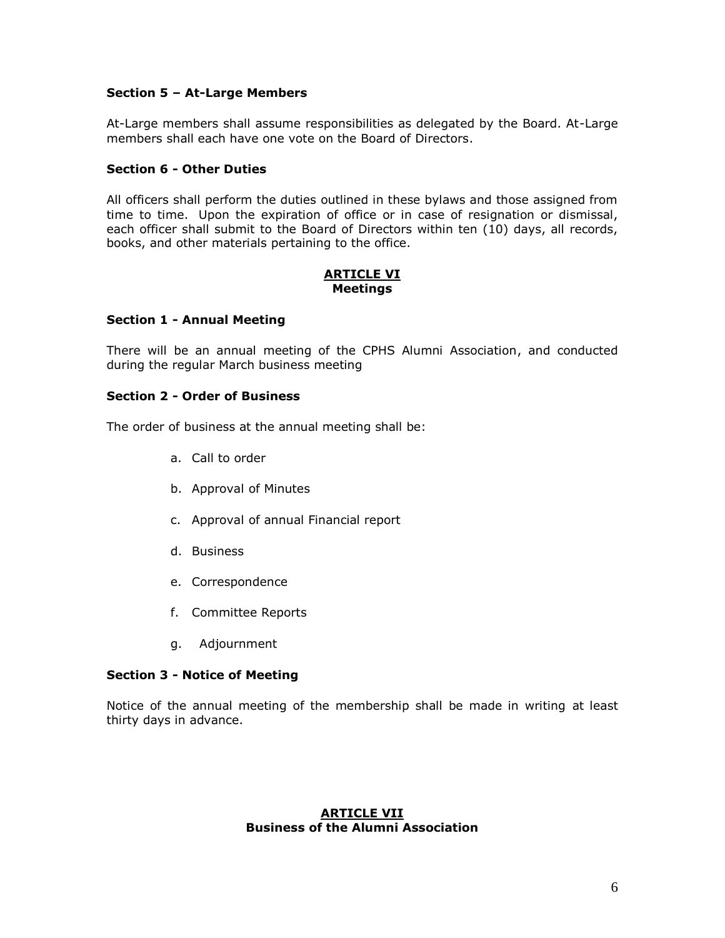# **Section 5 – At-Large Members**

At-Large members shall assume responsibilities as delegated by the Board. At-Large members shall each have one vote on the Board of Directors.

# **Section 6 - Other Duties**

All officers shall perform the duties outlined in these bylaws and those assigned from time to time. Upon the expiration of office or in case of resignation or dismissal, each officer shall submit to the Board of Directors within ten (10) days, all records, books, and other materials pertaining to the office.

### **ARTICLE VI Meetings**

# **Section 1 - Annual Meeting**

There will be an annual meeting of the CPHS Alumni Association, and conducted during the regular March business meeting

### **Section 2 - Order of Business**

The order of business at the annual meeting shall be:

- a. Call to order
- b. Approval of Minutes
- c. Approval of annual Financial report
- d. Business
- e. Correspondence
- f. Committee Reports
- g. Adjournment

# **Section 3 - Notice of Meeting**

Notice of the annual meeting of the membership shall be made in writing at least thirty days in advance.

### **ARTICLE VII Business of the Alumni Association**